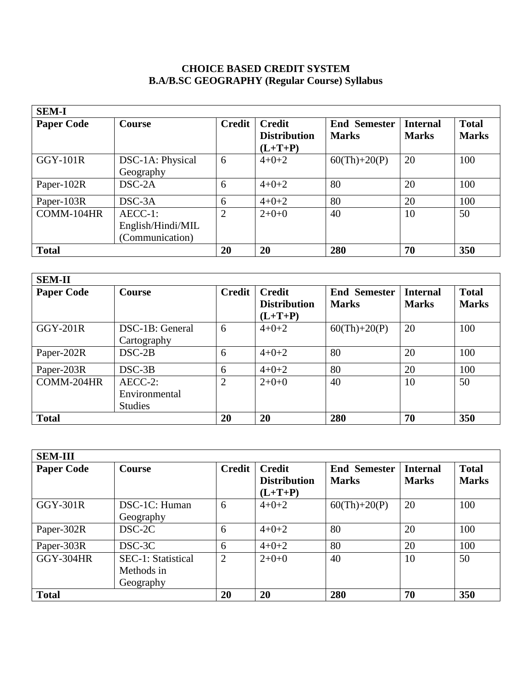# **CHOICE BASED CREDIT SYSTEM B.A/B.SC GEOGRAPHY (Regular Course) Syllabus**

| <b>SEM-I</b>      |                   |               |                     |                     |                 |              |  |
|-------------------|-------------------|---------------|---------------------|---------------------|-----------------|--------------|--|
| <b>Paper Code</b> | <b>Course</b>     | <b>Credit</b> | <b>Credit</b>       | <b>End Semester</b> | <b>Internal</b> | <b>Total</b> |  |
|                   |                   |               | <b>Distribution</b> | <b>Marks</b>        | <b>Marks</b>    | <b>Marks</b> |  |
|                   |                   |               | $(L+T+P)$           |                     |                 |              |  |
| <b>GGY-101R</b>   | DSC-1A: Physical  | 6             | $4 + 0 + 2$         | $60(Th)+20(P)$      | 20              | 100          |  |
|                   | Geography         |               |                     |                     |                 |              |  |
| Paper-102R        | $DSC-2A$          | 6             | $4+0+2$             | 80                  | 20              | 100          |  |
| Paper-103R        | $DSC-3A$          | 6             | $4+0+2$             | 80                  | 20              | 100          |  |
| COMM-104HR        | $AECC-1$ :        | 2             | $2+0+0$             | 40                  | 10              | 50           |  |
|                   | English/Hindi/MIL |               |                     |                     |                 |              |  |
|                   | (Communication)   |               |                     |                     |                 |              |  |
| <b>Total</b>      |                   | 20            | 20                  | 280                 | 70              | 350          |  |

| <b>SEM-II</b>     |                 |                |                                                                             |                |                                 |                              |  |
|-------------------|-----------------|----------------|-----------------------------------------------------------------------------|----------------|---------------------------------|------------------------------|--|
| <b>Paper Code</b> | Course          | <b>Credit</b>  | <b>Credit</b><br><b>End Semester</b><br><b>Distribution</b><br><b>Marks</b> |                | <b>Internal</b><br><b>Marks</b> | <b>Total</b><br><b>Marks</b> |  |
|                   |                 |                | $(L+T+P)$                                                                   |                |                                 |                              |  |
| $GGY-201R$        | DSC-1B: General | 6              | $4 + 0 + 2$                                                                 | $60(Th)+20(P)$ | 20                              | 100                          |  |
|                   | Cartography     |                |                                                                             |                |                                 |                              |  |
| Paper-202R        | $DSC-2B$        | 6              | $4+0+2$                                                                     | 80             | 20                              | 100                          |  |
| Paper-203R        | $DSC-3B$        | 6              | $4+0+2$                                                                     | 80             | 20                              | 100                          |  |
| COMM-204HR        | $AECC-2$ :      | $\overline{2}$ | $2+0+0$                                                                     | 40             | 10                              | 50                           |  |
|                   | Environmental   |                |                                                                             |                |                                 |                              |  |
|                   | <b>Studies</b>  |                |                                                                             |                |                                 |                              |  |
| <b>Total</b>      |                 | 20             | 20                                                                          | 280            | 70                              | 350                          |  |

| <b>SEM-III</b>    |                           |                |                     |                     |                 |              |
|-------------------|---------------------------|----------------|---------------------|---------------------|-----------------|--------------|
| <b>Paper Code</b> | Course                    | <b>Credit</b>  | <b>Credit</b>       | <b>End Semester</b> | <b>Internal</b> | <b>Total</b> |
|                   |                           |                | <b>Distribution</b> | <b>Marks</b>        | <b>Marks</b>    | <b>Marks</b> |
|                   |                           |                | $(L+T+P)$           |                     |                 |              |
| GGY-301R          | DSC-1C: Human             | 6              | $4 + 0 + 2$         | $60(Th)+20(P)$      | 20              | 100          |
|                   | Geography                 |                |                     |                     |                 |              |
| Paper-302R        | DSC-2C                    | 6              | $4 + 0 + 2$         | 80                  | 20              | 100          |
| Paper-303R        | DSC-3C                    | 6              | $4 + 0 + 2$         | 80                  | 20              | 100          |
| <b>GGY-304HR</b>  | <b>SEC-1: Statistical</b> | $\overline{2}$ | $2+0+0$             | 40                  | 10              | 50           |
|                   | Methods in                |                |                     |                     |                 |              |
|                   | Geography                 |                |                     |                     |                 |              |
| <b>Total</b>      |                           | 20             | 20                  | 280                 | 70              | 350          |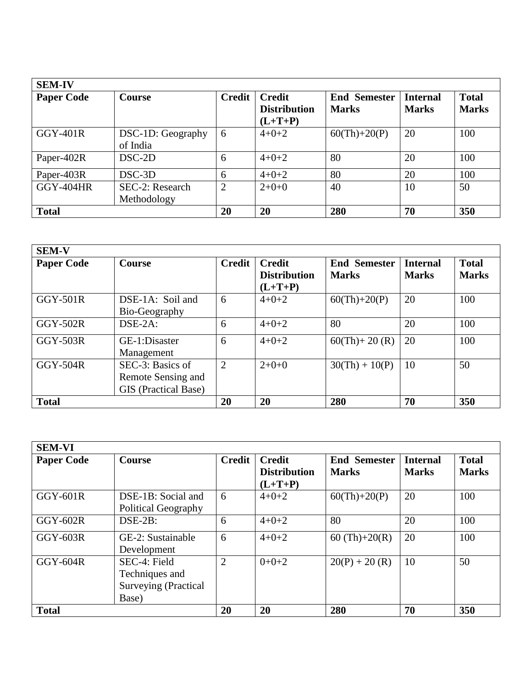| <b>SEM-IV</b>     |                                |                |                                                   |                                     |                                 |                              |  |
|-------------------|--------------------------------|----------------|---------------------------------------------------|-------------------------------------|---------------------------------|------------------------------|--|
| <b>Paper Code</b> | <b>Course</b>                  | <b>Credit</b>  | <b>Credit</b><br><b>Distribution</b><br>$(L+T+P)$ | <b>End Semester</b><br><b>Marks</b> | <b>Internal</b><br><b>Marks</b> | <b>Total</b><br><b>Marks</b> |  |
| <b>GGY-401R</b>   | DSC-1D: Geography<br>of India  | 6              | $4 + 0 + 2$                                       | $60(Th)+20(P)$                      | 20                              | 100                          |  |
| Paper-402R        | $DSC-2D$                       | 6              | $4+0+2$                                           | 80                                  | 20                              | 100                          |  |
| Paper-403R        | $DSC-3D$                       | 6              | $4 + 0 + 2$                                       | 80                                  | 20                              | 100                          |  |
| <b>GGY-404HR</b>  | SEC-2: Research<br>Methodology | $\overline{2}$ | $2+0+0$                                           | 40                                  | 10                              | 50                           |  |
| <b>Total</b>      |                                | 20             | 20                                                | 280                                 | 70                              | 350                          |  |

| <b>SEM-V</b>      |                             |                |                     |                     |                 |              |  |
|-------------------|-----------------------------|----------------|---------------------|---------------------|-----------------|--------------|--|
| <b>Paper Code</b> | <b>Course</b>               | <b>Credit</b>  | <b>Credit</b>       | <b>End Semester</b> | <b>Internal</b> | <b>Total</b> |  |
|                   |                             |                | <b>Distribution</b> | <b>Marks</b>        | <b>Marks</b>    | <b>Marks</b> |  |
|                   |                             |                | $(L+T+P)$           |                     |                 |              |  |
| $GGY-501R$        | DSE-1A: Soil and            | 6              | $4 + 0 + 2$         | $60(Th)+20(P)$      | 20              | 100          |  |
|                   | Bio-Geography               |                |                     |                     |                 |              |  |
| $GGY-502R$        | $DSE-2A$ :                  | 6              | $4 + 0 + 2$         | 80                  | 20              | 100          |  |
| <b>GGY-503R</b>   | GE-1:Disaster               | 6              | $4 + 0 + 2$         | $60(Th) + 20(R)$    | 20              | 100          |  |
|                   | Management                  |                |                     |                     |                 |              |  |
| <b>GGY-504R</b>   | SEC-3: Basics of            | $\overline{2}$ | $2+0+0$             | $30(Th) + 10(P)$    | 10              | 50           |  |
|                   | Remote Sensing and          |                |                     |                     |                 |              |  |
|                   | <b>GIS</b> (Practical Base) |                |                     |                     |                 |              |  |
| <b>Total</b>      |                             | 20             | 20                  | 280                 | 70              | 350          |  |

| <b>SEM-VI</b>     |                                                                        |                |                                                   |                                     |                                 |                              |
|-------------------|------------------------------------------------------------------------|----------------|---------------------------------------------------|-------------------------------------|---------------------------------|------------------------------|
| <b>Paper Code</b> | <b>Course</b>                                                          | <b>Credit</b>  | <b>Credit</b><br><b>Distribution</b><br>$(L+T+P)$ | <b>End Semester</b><br><b>Marks</b> | <b>Internal</b><br><b>Marks</b> | <b>Total</b><br><b>Marks</b> |
| $GGY-601R$        | DSE-1B: Social and<br><b>Political Geography</b>                       | 6              | $4 + 0 + 2$                                       | $60(Th)+20(P)$                      | 20                              | 100                          |
| GGY-602R          | $DSE-2B:$                                                              | 6              | $4 + 0 + 2$                                       | 80                                  | 20                              | 100                          |
| GGY-603R          | GE-2: Sustainable<br>Development                                       | 6              | $4 + 0 + 2$                                       | 60 $(Th)+20(R)$                     | 20                              | 100                          |
| GGY-604R          | SEC-4: Field<br>Techniques and<br><b>Surveying (Practical</b><br>Base) | $\overline{2}$ | $0+0+2$                                           | $20(P) + 20(R)$                     | 10                              | 50                           |
| <b>Total</b>      |                                                                        | 20             | 20                                                | 280                                 | 70                              | 350                          |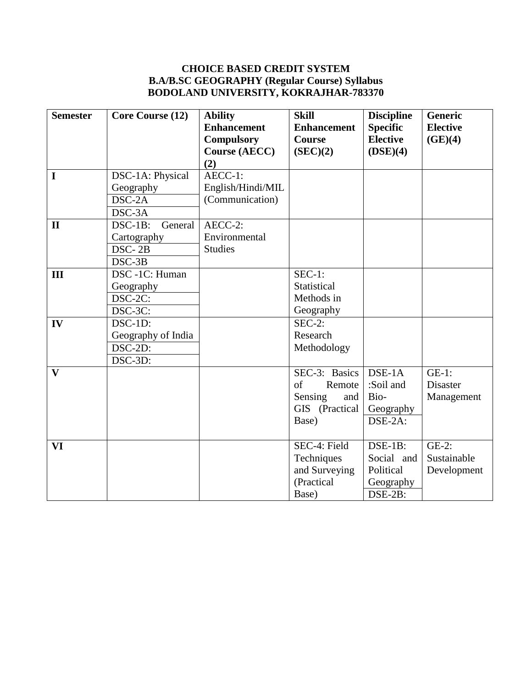# **CHOICE BASED CREDIT SYSTEM B.A/B.SC GEOGRAPHY (Regular Course) Syllabus BODOLAND UNIVERSITY, KOKRAJHAR-783370**

| <b>Semester</b> | Core Course (12)      | <b>Ability</b>       | <b>Skill</b>       | <b>Discipline</b>           | <b>Generic</b>  |
|-----------------|-----------------------|----------------------|--------------------|-----------------------------|-----------------|
|                 |                       | <b>Enhancement</b>   | <b>Enhancement</b> | <b>Specific</b>             | <b>Elective</b> |
|                 |                       | Compulsory           | <b>Course</b>      | <b>Elective</b>             | (GE)(4)         |
|                 |                       | <b>Course (AECC)</b> | (SEC)(2)           | (DSE)(4)                    |                 |
|                 |                       | (2)                  |                    |                             |                 |
| $\mathbf I$     | DSC-1A: Physical      | AECC-1:              |                    |                             |                 |
|                 | Geography             | English/Hindi/MIL    |                    |                             |                 |
|                 | DSC-2A                | (Communication)      |                    |                             |                 |
|                 | $DSC-3A$              |                      |                    |                             |                 |
| $\mathbf{I}$    | $DSC-1B$ :<br>General | AECC-2:              |                    |                             |                 |
|                 | Cartography           | Environmental        |                    |                             |                 |
|                 | DSC-2B                | <b>Studies</b>       |                    |                             |                 |
|                 | DSC-3B                |                      |                    |                             |                 |
| III             | DSC -1C: Human        |                      | $SEC-1:$           |                             |                 |
|                 | Geography             |                      | Statistical        |                             |                 |
|                 | DSC-2C:               |                      | Methods in         |                             |                 |
|                 | DSC-3C:               |                      | Geography          |                             |                 |
| IV              | DSC-1D:               |                      | $SEC-2:$           |                             |                 |
|                 | Geography of India    |                      | Research           |                             |                 |
|                 | DSC-2D:               |                      | Methodology        |                             |                 |
|                 | DSC-3D:               |                      |                    |                             |                 |
| $\mathbf{V}$    |                       |                      | SEC-3: Basics      | $\overline{\text{DSE-1}}$ A | $GE-1$ :        |
|                 |                       |                      | of<br>Remote       | :Soil and                   | <b>Disaster</b> |
|                 |                       |                      | Sensing<br>and     | Bio-                        | Management      |
|                 |                       |                      | GIS (Practical     | Geography                   |                 |
|                 |                       |                      | Base)              | DSE-2A:                     |                 |
|                 |                       |                      |                    |                             |                 |
| VI              |                       |                      | SEC-4: Field       | DSE-1B:                     | $GE-2$ :        |
|                 |                       |                      | Techniques         | Social and                  | Sustainable     |
|                 |                       |                      | and Surveying      | Political                   | Development     |
|                 |                       |                      | (Practical         | Geography                   |                 |
|                 |                       |                      | Base)              | DSE-2B:                     |                 |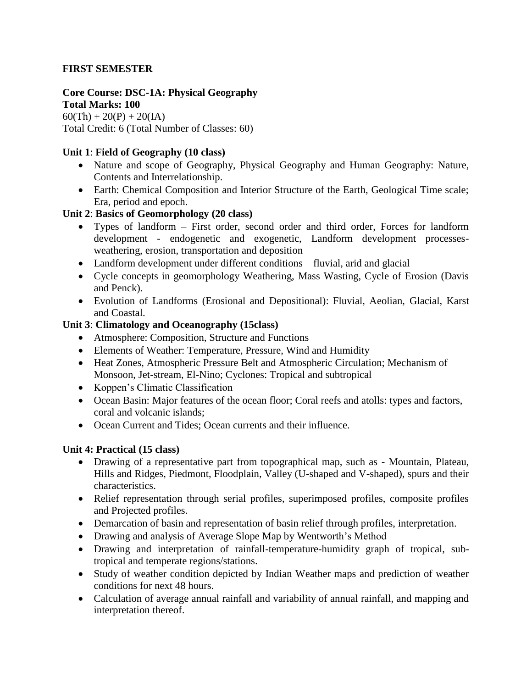## **FIRST SEMESTER**

#### **Core Course: DSC-1A: Physical Geography Total Marks: 100**

 $60(Th) + 20(P) + 20(IA)$ Total Credit: 6 (Total Number of Classes: 60)

## **Unit 1**: **Field of Geography (10 class)**

- Nature and scope of Geography, Physical Geography and Human Geography: Nature, Contents and Interrelationship.
- Earth: Chemical Composition and Interior Structure of the Earth, Geological Time scale; Era, period and epoch.

# **Unit 2**: **Basics of Geomorphology (20 class)**

- Types of landform First order, second order and third order, Forces for landform development - endogenetic and exogenetic, Landform development processesweathering, erosion, transportation and deposition
- Landform development under different conditions fluvial, arid and glacial
- Cycle concepts in geomorphology Weathering, Mass Wasting, Cycle of Erosion (Davis and Penck).
- Evolution of Landforms (Erosional and Depositional): Fluvial, Aeolian, Glacial, Karst and Coastal.

## **Unit 3**: **Climatology and Oceanography (15class)**

- Atmosphere: Composition, Structure and Functions
- Elements of Weather: Temperature, Pressure, Wind and Humidity
- Heat Zones, Atmospheric Pressure Belt and Atmospheric Circulation; Mechanism of Monsoon, Jet-stream, El-Nino; Cyclones: Tropical and subtropical
- Koppen's Climatic Classification
- Ocean Basin: Major features of the ocean floor; Coral reefs and atolls: types and factors, coral and volcanic islands;
- Ocean Current and Tides; Ocean currents and their influence.

## **Unit 4: Practical (15 class)**

- Drawing of a representative part from topographical map, such as Mountain, Plateau, Hills and Ridges, Piedmont, Floodplain, Valley (U-shaped and V-shaped), spurs and their characteristics.
- Relief representation through serial profiles, superimposed profiles, composite profiles and Projected profiles.
- Demarcation of basin and representation of basin relief through profiles, interpretation.
- Drawing and analysis of Average Slope Map by Wentworth's Method
- Drawing and interpretation of rainfall-temperature-humidity graph of tropical, subtropical and temperate regions/stations.
- Study of weather condition depicted by Indian Weather maps and prediction of weather conditions for next 48 hours.
- Calculation of average annual rainfall and variability of annual rainfall, and mapping and interpretation thereof.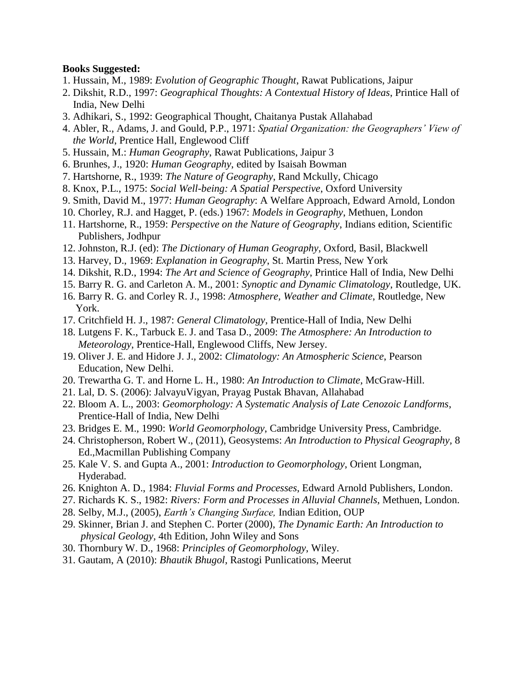- 1. Hussain, M., 1989: *Evolution of Geographic Thought*, Rawat Publications, Jaipur
- 2. Dikshit, R.D., 1997: *Geographical Thoughts: A Contextual History of Ideas*, Printice Hall of India, New Delhi
- 3. Adhikari, S., 1992: Geographical Thought, Chaitanya Pustak Allahabad
- 4. Abler, R., Adams, J. and Gould, P.P., 1971: *Spatial Organization: the Geographers' View of the World*, Prentice Hall, Englewood Cliff
- 5. Hussain, M.: *Human Geography*, Rawat Publications, Jaipur 3
- 6. Brunhes, J., 1920: *Human Geography*, edited by Isaisah Bowman
- 7. Hartshorne, R., 1939: *The Nature of Geography*, Rand Mckully, Chicago
- 8. Knox, P.L., 1975: *Social Well-being: A Spatial Perspective*, Oxford University
- 9. Smith, David M., 1977: *Human Geography*: A Welfare Approach, Edward Arnold, London
- 10. Chorley, R.J. and Hagget, P. (eds.) 1967: *Models in Geography*, Methuen, London
- 11. Hartshorne, R., 1959: *Perspective on the Nature of Geography*, Indians edition, Scientific Publishers, Jodhpur
- 12. Johnston, R.J. (ed): *The Dictionary of Human Geography*, Oxford, Basil, Blackwell
- 13. Harvey, D., 1969: *Explanation in Geography*, St. Martin Press, New York
- 14. Dikshit, R.D., 1994: *The Art and Science of Geography*, Printice Hall of India, New Delhi
- 15. Barry R. G. and Carleton A. M., 2001: *Synoptic and Dynamic Climatology*, Routledge, UK.
- 16. Barry R. G. and Corley R. J., 1998: *Atmosphere, Weather and Climate*, Routledge, New York.
- 17. Critchfield H. J., 1987: *General Climatology*, Prentice-Hall of India, New Delhi
- 18. Lutgens F. K., Tarbuck E. J. and Tasa D., 2009: *The Atmosphere: An Introduction to Meteorology*, Prentice-Hall, Englewood Cliffs, New Jersey.
- 19. Oliver J. E. and Hidore J. J., 2002: *Climatology: An Atmospheric Science*, Pearson Education, New Delhi.
- 20. Trewartha G. T. and Horne L. H., 1980: *An Introduction to Climate*, McGraw-Hill.
- 21. Lal, D. S. (2006): JalvayuVigyan, Prayag Pustak Bhavan, Allahabad
- 22. Bloom A. L., 2003: *Geomorphology: A Systematic Analysis of Late Cenozoic Landforms*, Prentice-Hall of India, New Delhi
- 23. Bridges E. M., 1990: *World Geomorphology*, Cambridge University Press, Cambridge.
- 24. Christopherson, Robert W., (2011), Geosystems: *An Introduction to Physical Geography,* 8 Ed.,Macmillan Publishing Company
- 25. Kale V. S. and Gupta A., 2001: *Introduction to Geomorphology*, Orient Longman, Hyderabad.
- 26. Knighton A. D., 1984: *Fluvial Forms and Processes*, Edward Arnold Publishers, London.
- 27. Richards K. S., 1982: *Rivers: Form and Processes in Alluvial Channels*, Methuen, London.
- 28. Selby, M.J., (2005), *Earth's Changing Surface,* Indian Edition, OUP
- 29. Skinner, Brian J. and Stephen C. Porter (2000), *The Dynamic Earth: An Introduction to physical Geology,* 4th Edition, John Wiley and Sons
- 30. Thornbury W. D., 1968: *Principles of Geomorphology*, Wiley.
- 31. Gautam, A (2010): *Bhautik Bhugol*, Rastogi Punlications, Meerut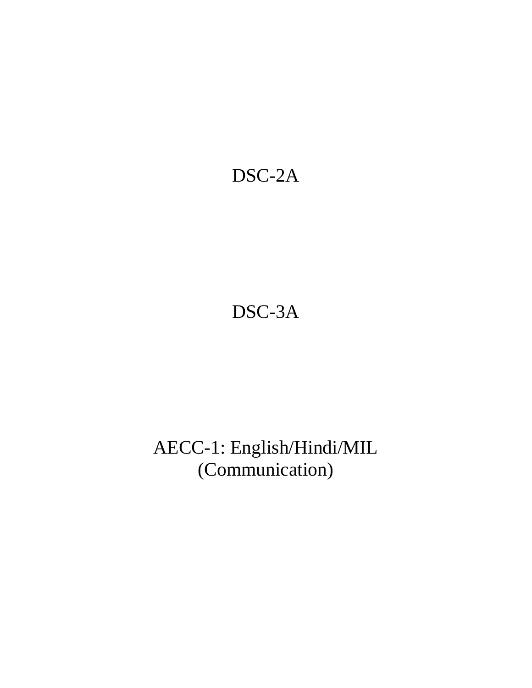# DSC-2A

# DSC-3A

# AECC-1: English/Hindi/MIL (Communication)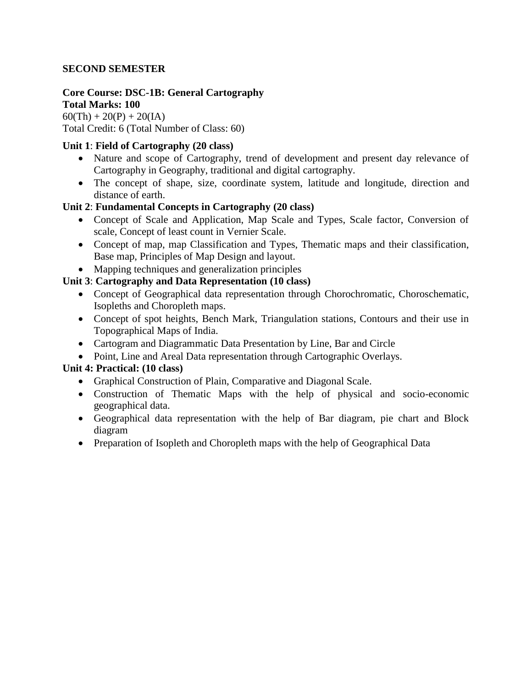## **SECOND SEMESTER**

#### **Core Course: DSC-1B: General Cartography Total Marks: 100**

 $60(Th) + 20(P) + 20(IA)$ Total Credit: 6 (Total Number of Class: 60)

### **Unit 1**: **Field of Cartography (20 class)**

- Nature and scope of Cartography, trend of development and present day relevance of Cartography in Geography, traditional and digital cartography.
- The concept of shape, size, coordinate system, latitude and longitude, direction and distance of earth.

### **Unit 2**: **Fundamental Concepts in Cartography (20 class)**

- Concept of Scale and Application, Map Scale and Types, Scale factor, Conversion of scale, Concept of least count in Vernier Scale.
- Concept of map, map Classification and Types, Thematic maps and their classification, Base map, Principles of Map Design and layout.
- Mapping techniques and generalization principles

# **Unit 3**: **Cartography and Data Representation (10 class)**

- Concept of Geographical data representation through Chorochromatic, Choroschematic, Isopleths and Choropleth maps.
- Concept of spot heights, Bench Mark, Triangulation stations, Contours and their use in Topographical Maps of India.
- Cartogram and Diagrammatic Data Presentation by Line, Bar and Circle
- Point, Line and Areal Data representation through Cartographic Overlays.

## **Unit 4: Practical: (10 class)**

- Graphical Construction of Plain, Comparative and Diagonal Scale.
- Construction of Thematic Maps with the help of physical and socio-economic geographical data.
- Geographical data representation with the help of Bar diagram, pie chart and Block diagram
- Preparation of Isopleth and Choropleth maps with the help of Geographical Data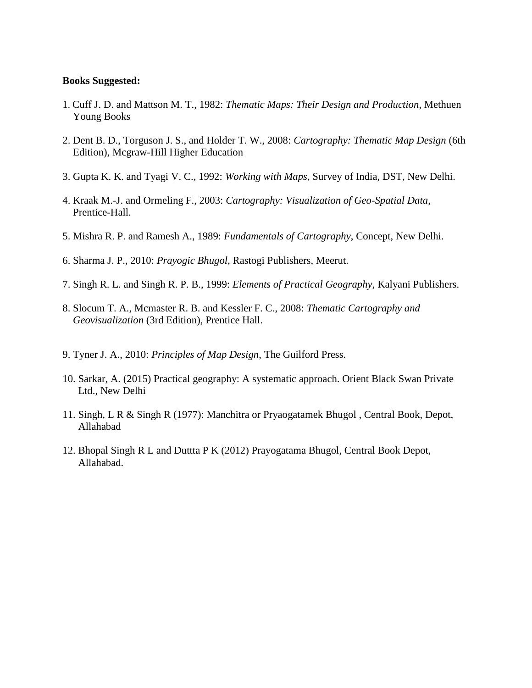- 1. Cuff J. D. and Mattson M. T., 1982: *Thematic Maps: Their Design and Production*, Methuen Young Books
- 2. Dent B. D., Torguson J. S., and Holder T. W., 2008: *Cartography: Thematic Map Design* (6th Edition), Mcgraw-Hill Higher Education
- 3. Gupta K. K. and Tyagi V. C., 1992: *Working with Maps*, Survey of India, DST, New Delhi.
- 4. Kraak M.-J. and Ormeling F., 2003: *Cartography: Visualization of Geo-Spatial Data*, Prentice-Hall.
- 5. Mishra R. P. and Ramesh A., 1989: *Fundamentals of Cartography*, Concept, New Delhi.
- 6. Sharma J. P., 2010: *Prayogic Bhugol*, Rastogi Publishers, Meerut.
- 7. Singh R. L. and Singh R. P. B., 1999: *Elements of Practical Geography*, Kalyani Publishers.
- 8. Slocum T. A., Mcmaster R. B. and Kessler F. C., 2008: *Thematic Cartography and Geovisualization* (3rd Edition), Prentice Hall.
- 9. Tyner J. A., 2010: *Principles of Map Design*, The Guilford Press.
- 10. Sarkar, A. (2015) Practical geography: A systematic approach. Orient Black Swan Private Ltd., New Delhi
- 11. Singh, L R & Singh R (1977): Manchitra or Pryaogatamek Bhugol , Central Book, Depot, Allahabad
- 12. Bhopal Singh R L and Duttta P K (2012) Prayogatama Bhugol, Central Book Depot, Allahabad.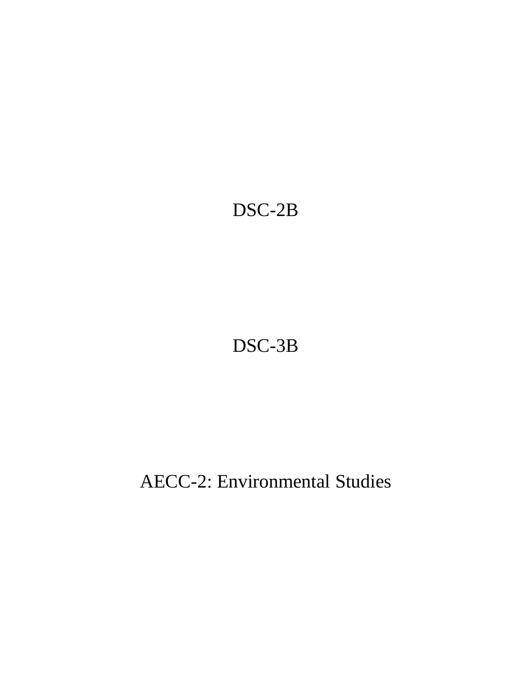# DSC-2B

# DSC-3B

# AECC-2: Environmental Studies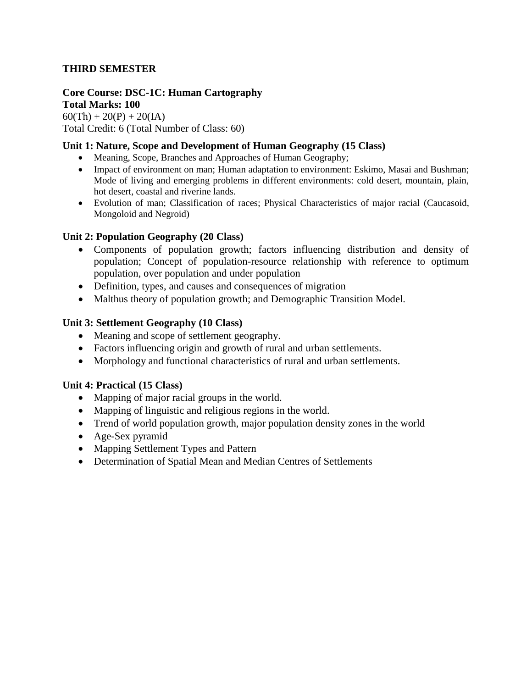## **THIRD SEMESTER**

#### **Core Course: DSC-1C: Human Cartography Total Marks: 100**

 $60(Th) + 20(P) + 20(IA)$ Total Credit: 6 (Total Number of Class: 60)

### **Unit 1: Nature, Scope and Development of Human Geography (15 Class)**

- Meaning, Scope, Branches and Approaches of Human Geography;
- Impact of environment on man; Human adaptation to environment: Eskimo, Masai and Bushman; Mode of living and emerging problems in different environments: cold desert, mountain, plain, hot desert, coastal and riverine lands.
- Evolution of man; Classification of races; Physical Characteristics of major racial (Caucasoid, Mongoloid and Negroid)

#### **Unit 2: Population Geography (20 Class)**

- Components of population growth; factors influencing distribution and density of population; Concept of population-resource relationship with reference to optimum population, over population and under population
- Definition, types, and causes and consequences of migration
- Malthus theory of population growth; and Demographic Transition Model.

#### **Unit 3: Settlement Geography (10 Class)**

- Meaning and scope of settlement geography.
- Factors influencing origin and growth of rural and urban settlements.
- Morphology and functional characteristics of rural and urban settlements.

#### **Unit 4: Practical (15 Class)**

- Mapping of major racial groups in the world.
- Mapping of linguistic and religious regions in the world.
- Trend of world population growth, major population density zones in the world
- Age-Sex pyramid
- Mapping Settlement Types and Pattern
- Determination of Spatial Mean and Median Centres of Settlements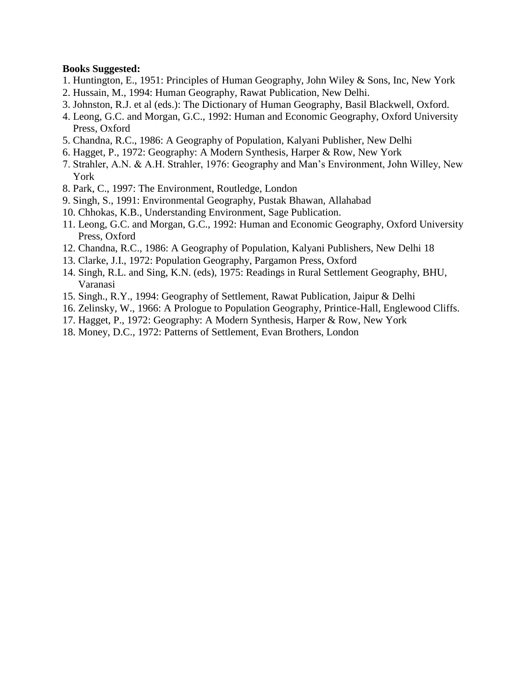- 1. Huntington, E., 1951: Principles of Human Geography, John Wiley & Sons, Inc, New York
- 2. Hussain, M., 1994: Human Geography, Rawat Publication, New Delhi.
- 3. Johnston, R.J. et al (eds.): The Dictionary of Human Geography, Basil Blackwell, Oxford.
- 4. Leong, G.C. and Morgan, G.C., 1992: Human and Economic Geography, Oxford University Press, Oxford
- 5. Chandna, R.C., 1986: A Geography of Population, Kalyani Publisher, New Delhi
- 6. Hagget, P., 1972: Geography: A Modern Synthesis, Harper & Row, New York
- 7. Strahler, A.N. & A.H. Strahler, 1976: Geography and Man's Environment, John Willey, New York
- 8. Park, C., 1997: The Environment, Routledge, London
- 9. Singh, S., 1991: Environmental Geography, Pustak Bhawan, Allahabad
- 10. Chhokas, K.B., Understanding Environment, Sage Publication.
- 11. Leong, G.C. and Morgan, G.C., 1992: Human and Economic Geography, Oxford University Press, Oxford
- 12. Chandna, R.C., 1986: A Geography of Population, Kalyani Publishers, New Delhi 18
- 13. Clarke, J.I., 1972: Population Geography, Pargamon Press, Oxford
- 14. Singh, R.L. and Sing, K.N. (eds), 1975: Readings in Rural Settlement Geography, BHU, Varanasi
- 15. Singh., R.Y., 1994: Geography of Settlement, Rawat Publication, Jaipur & Delhi
- 16. Zelinsky, W., 1966: A Prologue to Population Geography, Printice-Hall, Englewood Cliffs.
- 17. Hagget, P., 1972: Geography: A Modern Synthesis, Harper & Row, New York
- 18. Money, D.C., 1972: Patterns of Settlement, Evan Brothers, London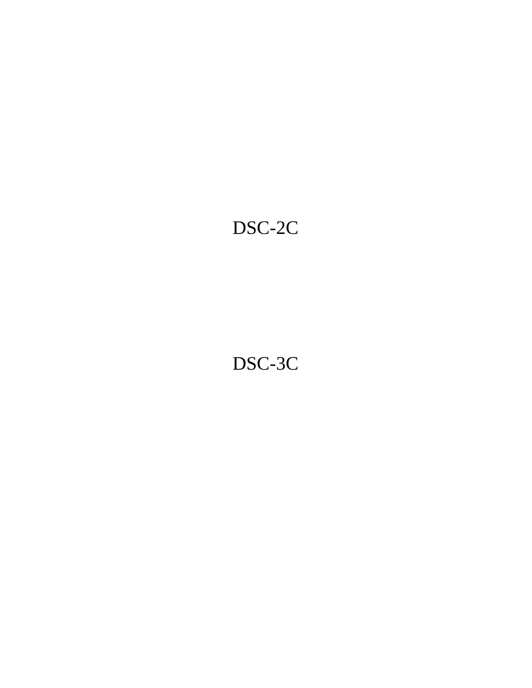# DSC-2C

# DSC-3C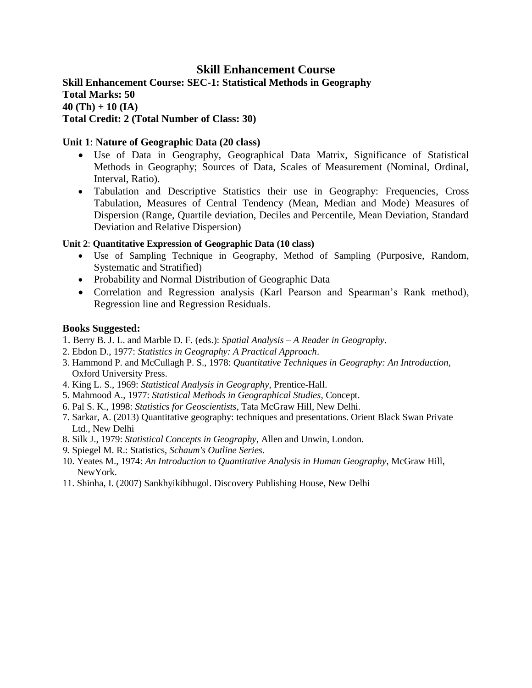# **Skill Enhancement Course**

**Skill Enhancement Course: SEC-1: Statistical Methods in Geography Total Marks: 50 40 (Th) + 10 (IA) Total Credit: 2 (Total Number of Class: 30)**

#### **Unit 1**: **Nature of Geographic Data (20 class)**

- Use of Data in Geography, Geographical Data Matrix, Significance of Statistical Methods in Geography; Sources of Data, Scales of Measurement (Nominal, Ordinal, Interval, Ratio).
- Tabulation and Descriptive Statistics their use in Geography: Frequencies, Cross Tabulation, Measures of Central Tendency (Mean, Median and Mode) Measures of Dispersion (Range, Quartile deviation, Deciles and Percentile, Mean Deviation, Standard Deviation and Relative Dispersion)

#### **Unit 2**: **Quantitative Expression of Geographic Data (10 class)**

- Use of Sampling Technique in Geography, Method of Sampling (Purposive, Random, Systematic and Stratified)
- Probability and Normal Distribution of Geographic Data
- Correlation and Regression analysis (Karl Pearson and Spearman's Rank method), Regression line and Regression Residuals.

- 1. Berry B. J. L. and Marble D. F. (eds.): *Spatial Analysis – A Reader in Geography*.
- 2. Ebdon D., 1977: *Statistics in Geography: A Practical Approach*.
- 3. Hammond P. and McCullagh P. S., 1978: *Quantitative Techniques in Geography: An Introduction,* Oxford University Press.
- 4. King L. S., 1969: *Statistical Analysis in Geography*, Prentice-Hall.
- 5. Mahmood A., 1977: *Statistical Methods in Geographical Studies,* Concept.
- 6. Pal S. K., 1998: *Statistics for Geoscientists*, Tata McGraw Hill, New Delhi.
- 7. Sarkar, A. (2013) Quantitative geography: techniques and presentations. Orient Black Swan Private Ltd., New Delhi
- 8. Silk J., 1979: *Statistical Concepts in Geography*, Allen and Unwin, London.
- *9.* Spiegel M. R.: Statistics, *Schaum's Outline Series.*
- 10. Yeates M., 1974: *An Introduction to Quantitative Analysis in Human Geography*, McGraw Hill, NewYork.
- 11. Shinha, I. (2007) Sankhyikibhugol. Discovery Publishing House, New Delhi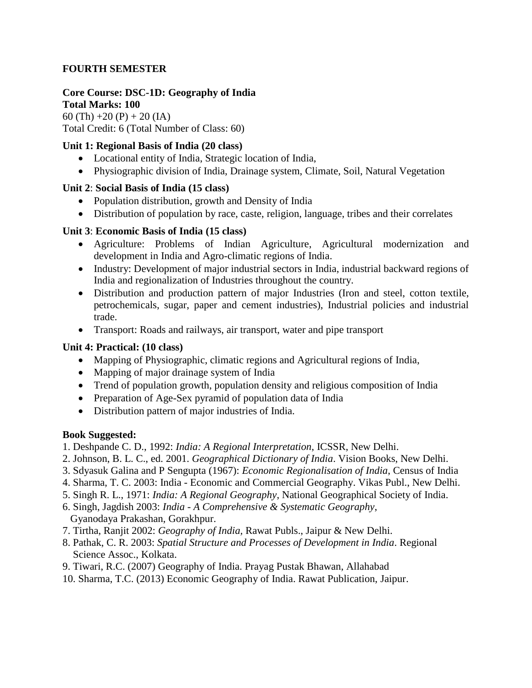### **FOURTH SEMESTER**

#### **Core Course: DSC-1D: Geography of India Total Marks: 100**

60 (Th) +20 (P) + 20 (IA) Total Credit: 6 (Total Number of Class: 60)

# **Unit 1: Regional Basis of India (20 class)**

- Locational entity of India, Strategic location of India,
- Physiographic division of India, Drainage system, Climate, Soil, Natural Vegetation

# **Unit 2**: **Social Basis of India (15 class)**

- Population distribution, growth and Density of India
- Distribution of population by race, caste, religion, language, tribes and their correlates

# **Unit 3**: **Economic Basis of India (15 class)**

- Agriculture: Problems of Indian Agriculture, Agricultural modernization and development in India and Agro-climatic regions of India.
- Industry: Development of major industrial sectors in India, industrial backward regions of India and regionalization of Industries throughout the country.
- Distribution and production pattern of major Industries (Iron and steel, cotton textile, petrochemicals, sugar, paper and cement industries), Industrial policies and industrial trade.
- Transport: Roads and railways, air transport, water and pipe transport

# **Unit 4: Practical: (10 class)**

- Mapping of Physiographic, climatic regions and Agricultural regions of India,
- Mapping of major drainage system of India
- Trend of population growth, population density and religious composition of India
- Preparation of Age-Sex pyramid of population data of India
- Distribution pattern of major industries of India.

- 1. Deshpande C. D., 1992: *India: A Regional Interpretation*, ICSSR, New Delhi.
- 2. Johnson, B. L. C., ed. 2001. *Geographical Dictionary of India*. Vision Books, New Delhi.
- 3. Sdyasuk Galina and P Sengupta (1967): *Economic Regionalisation of India*, Census of India
- 4. Sharma, T. C. 2003: India Economic and Commercial Geography. Vikas Publ., New Delhi.
- 5. Singh R. L., 1971: *India: A Regional Geography*, National Geographical Society of India.
- 6. Singh, Jagdish 2003: *India - A Comprehensive & Systematic Geography*, Gyanodaya Prakashan, Gorakhpur.
- 7. Tirtha, Ranjit 2002: *Geography of India,* Rawat Publs., Jaipur & New Delhi.
- 8. Pathak, C. R. 2003: *Spatial Structure and Processes of Development in India*. Regional Science Assoc., Kolkata.
- 9. Tiwari, R.C. (2007) Geography of India. Prayag Pustak Bhawan, Allahabad
- 10. Sharma, T.C. (2013) Economic Geography of India. Rawat Publication, Jaipur.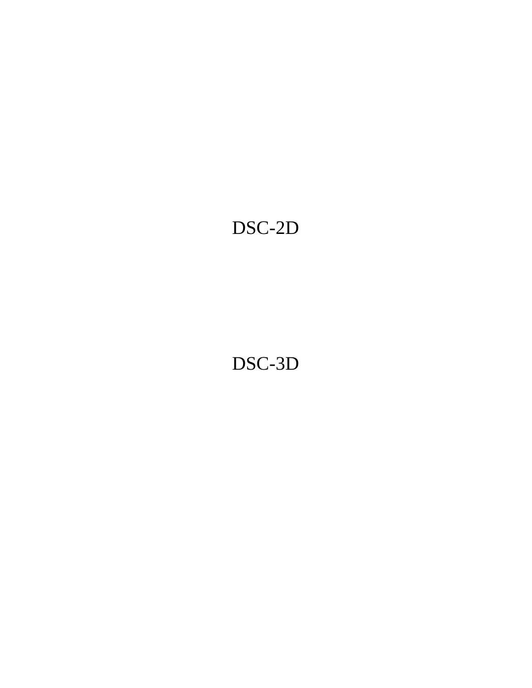# DSC-2D

DSC-3D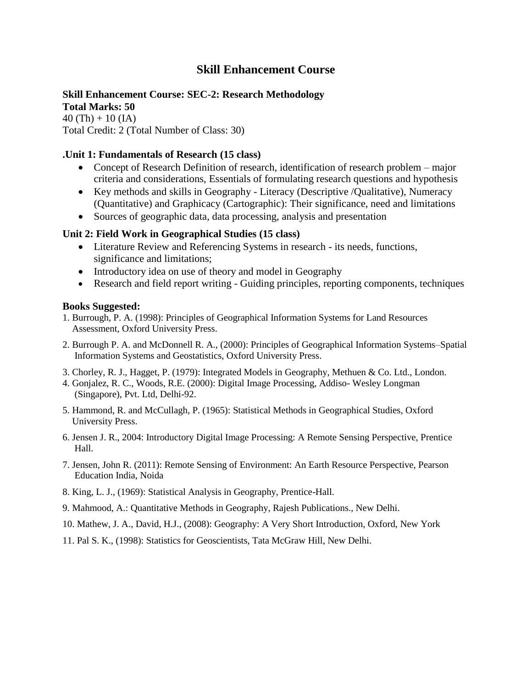# **Skill Enhancement Course**

# **Skill Enhancement Course: SEC-2: Research Methodology**

**Total Marks: 50**  $40$  (Th) + 10 (IA) Total Credit: 2 (Total Number of Class: 30)

#### **.Unit 1: Fundamentals of Research (15 class)**

- Concept of Research Definition of research, identification of research problem major criteria and considerations, Essentials of formulating research questions and hypothesis
- Key methods and skills in Geography Literacy (Descriptive /Qualitative), Numeracy (Quantitative) and Graphicacy (Cartographic): Their significance, need and limitations
- Sources of geographic data, data processing, analysis and presentation

#### **Unit 2: Field Work in Geographical Studies (15 class)**

- Literature Review and Referencing Systems in research its needs, functions, significance and limitations;
- Introductory idea on use of theory and model in Geography
- Research and field report writing Guiding principles, reporting components, techniques

- 1. Burrough, P. A. (1998): Principles of Geographical Information Systems for Land Resources Assessment, Oxford University Press.
- 2. Burrough P. A. and McDonnell R. A., (2000): Principles of Geographical Information Systems–Spatial Information Systems and Geostatistics, Oxford University Press.
- 3. Chorley, R. J., Hagget, P. (1979): Integrated Models in Geography, Methuen & Co. Ltd., London.
- 4. Gonjalez, R. C., Woods, R.E. (2000): Digital Image Processing, Addiso- Wesley Longman (Singapore), Pvt. Ltd, Delhi-92.
- 5. Hammond, R. and McCullagh, P. (1965): Statistical Methods in Geographical Studies, Oxford University Press.
- 6. Jensen J. R., 2004: Introductory Digital Image Processing: A Remote Sensing Perspective, Prentice Hall.
- 7. Jensen, John R. (2011): Remote Sensing of Environment: An Earth Resource Perspective, Pearson Education India, Noida
- 8. King, L. J., (1969): Statistical Analysis in Geography, Prentice-Hall.
- 9. Mahmood, A.: Quantitative Methods in Geography, Rajesh Publications., New Delhi.
- 10. Mathew, J. A., David, H.J., (2008): Geography: A Very Short Introduction, Oxford, New York
- 11. Pal S. K., (1998): Statistics for Geoscientists, Tata McGraw Hill, New Delhi.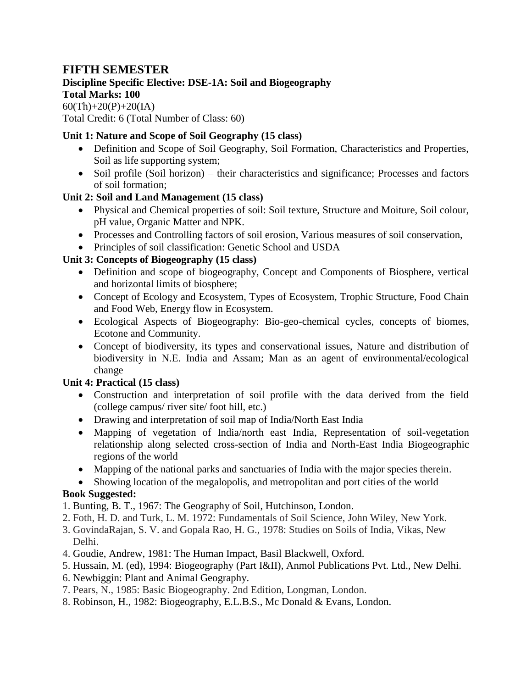# **FIFTH SEMESTER**

# **Discipline Specific Elective: DSE-1A: Soil and Biogeography**

# **Total Marks: 100**

 $60(Th) + 20(P) + 20(IA)$ Total Credit: 6 (Total Number of Class: 60)

# **Unit 1: Nature and Scope of Soil Geography (15 class)**

- Definition and Scope of Soil Geography, Soil Formation, Characteristics and Properties, Soil as life supporting system;
- Soil profile (Soil horizon) their characteristics and significance; Processes and factors of soil formation;

# **Unit 2: Soil and Land Management (15 class)**

- Physical and Chemical properties of soil: Soil texture, Structure and Moiture, Soil colour, pH value, Organic Matter and NPK.
- Processes and Controlling factors of soil erosion, Various measures of soil conservation,
- Principles of soil classification: Genetic School and USDA

# **Unit 3: Concepts of Biogeography (15 class)**

- Definition and scope of biogeography, Concept and Components of Biosphere, vertical and horizontal limits of biosphere;
- Concept of Ecology and Ecosystem, Types of Ecosystem, Trophic Structure, Food Chain and Food Web, Energy flow in Ecosystem.
- Ecological Aspects of Biogeography: Bio-geo-chemical cycles, concepts of biomes, Ecotone and Community.
- Concept of biodiversity, its types and conservational issues, Nature and distribution of biodiversity in N.E. India and Assam; Man as an agent of environmental/ecological change

# **Unit 4: Practical (15 class)**

- Construction and interpretation of soil profile with the data derived from the field (college campus/ river site/ foot hill, etc.)
- Drawing and interpretation of soil map of India/North East India
- Mapping of vegetation of India/north east India, Representation of soil-vegetation relationship along selected cross-section of India and North-East India Biogeographic regions of the world
- Mapping of the national parks and sanctuaries of India with the major species therein.
- Showing location of the megalopolis, and metropolitan and port cities of the world **Book Suggested:**

## 1. Bunting, B. T., 1967: The Geography of Soil, Hutchinson, London.

- 2. Foth, H. D. and Turk, L. M. 1972: Fundamentals of Soil Science, John Wiley, New York.
- 3. GovindaRajan, S. V. and Gopala Rao, H. G., 1978: Studies on Soils of India, Vikas, New Delhi.
- 4. Goudie, Andrew, 1981: The Human Impact, Basil Blackwell, Oxford.
- 5. Hussain, M. (ed), 1994: Biogeography (Part I&II), Anmol Publications Pvt. Ltd., New Delhi.
- 6. Newbiggin: Plant and Animal Geography.
- 7. Pears, N., 1985: Basic Biogeography. 2nd Edition, Longman, London.
- 8. Robinson, H., 1982: Biogeography, E.L.B.S., Mc Donald & Evans, London.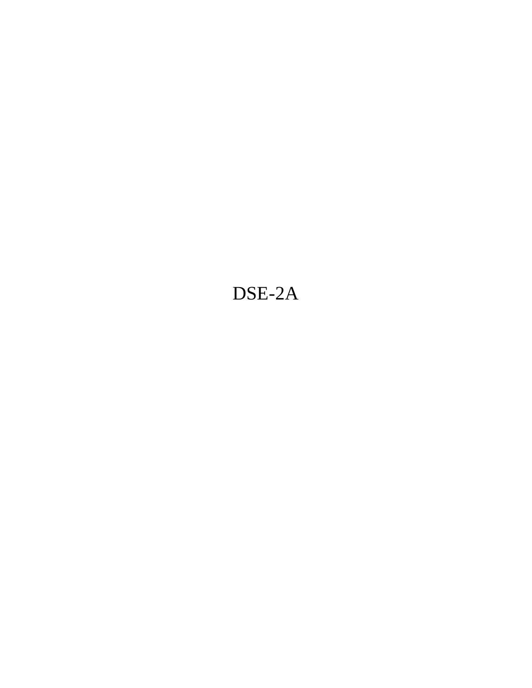# DSE-2A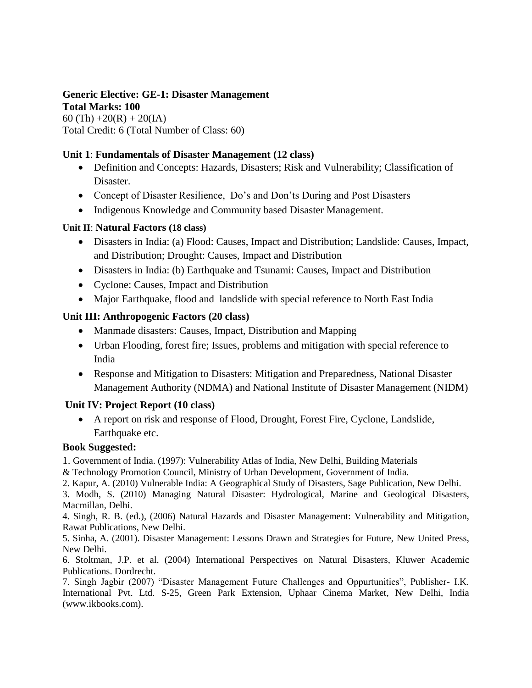#### **Generic Elective: GE-1: Disaster Management Total Marks: 100**

60 (Th)  $+20(R) + 20(IA)$ Total Credit: 6 (Total Number of Class: 60)

### **Unit 1**: **Fundamentals of Disaster Management (12 class)**

- Definition and Concepts: Hazards, Disasters; Risk and Vulnerability; Classification of Disaster.
- Concept of Disaster Resilience, Do's and Don'ts During and Post Disasters
- Indigenous Knowledge and Community based Disaster Management.

### **Unit II**: **Natural Factors (18 class)**

- Disasters in India: (a) Flood: Causes, Impact and Distribution; Landslide: Causes, Impact, and Distribution; Drought: Causes, Impact and Distribution
- Disasters in India: (b) Earthquake and Tsunami: Causes, Impact and Distribution
- Cyclone: Causes, Impact and Distribution
- Major Earthquake, flood and landslide with special reference to North East India

## **Unit III: Anthropogenic Factors (20 class)**

- Manmade disasters: Causes, Impact, Distribution and Mapping
- Urban Flooding, forest fire; Issues, problems and mitigation with special reference to India
- Response and Mitigation to Disasters: Mitigation and Preparedness, National Disaster Management Authority (NDMA) and National Institute of Disaster Management (NIDM)

## **Unit IV: Project Report (10 class)**

 A report on risk and response of Flood, Drought, Forest Fire, Cyclone, Landslide, Earthquake etc.

## **Book Suggested:**

1. Government of India. (1997): Vulnerability Atlas of India, New Delhi, Building Materials

& Technology Promotion Council, Ministry of Urban Development, Government of India.

2. Kapur, A. (2010) Vulnerable India: A Geographical Study of Disasters, Sage Publication, New Delhi.

3. Modh, S. (2010) Managing Natural Disaster: Hydrological, Marine and Geological Disasters, Macmillan, Delhi.

4. Singh, R. B. (ed.), (2006) Natural Hazards and Disaster Management: Vulnerability and Mitigation, Rawat Publications, New Delhi.

5. Sinha, A. (2001). Disaster Management: Lessons Drawn and Strategies for Future, New United Press, New Delhi.

6. Stoltman, J.P. et al. (2004) International Perspectives on Natural Disasters, Kluwer Academic Publications. Dordrecht.

7. Singh Jagbir (2007) "Disaster Management Future Challenges and Oppurtunities", Publisher- I.K. International Pvt. Ltd. S-25, Green Park Extension, Uphaar Cinema Market, New Delhi, India (www.ikbooks.com).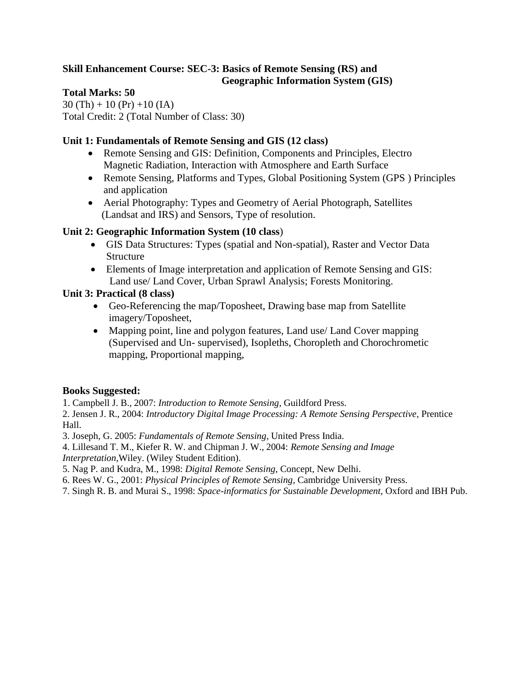## **Skill Enhancement Course: SEC-3: Basics of Remote Sensing (RS) and Geographic Information System (GIS)**

## **Total Marks: 50**

 $30$  (Th) + 10 (Pr) + 10 (IA) Total Credit: 2 (Total Number of Class: 30)

## **Unit 1: Fundamentals of Remote Sensing and GIS (12 class)**

- Remote Sensing and GIS: Definition, Components and Principles, Electro Magnetic Radiation, Interaction with Atmosphere and Earth Surface
- Remote Sensing, Platforms and Types, Global Positioning System (GPS ) Principles and application
- Aerial Photography: Types and Geometry of Aerial Photograph, Satellites (Landsat and IRS) and Sensors, Type of resolution.

# **Unit 2: Geographic Information System (10 class**)

- GIS Data Structures: Types (spatial and Non-spatial), Raster and Vector Data Structure
- Elements of Image interpretation and application of Remote Sensing and GIS: Land use/ Land Cover, Urban Sprawl Analysis; Forests Monitoring.

# **Unit 3: Practical (8 class)**

- Geo-Referencing the map/Toposheet, Drawing base map from Satellite imagery/Toposheet,
- Mapping point, line and polygon features, Land use/ Land Cover mapping (Supervised and Un- supervised), Isopleths, Choropleth and Chorochrometic mapping, Proportional mapping,

## **Books Suggested:**

1. Campbell J. B., 2007: *Introduction to Remote Sensing*, Guildford Press.

2. Jensen J. R., 2004: *Introductory Digital Image Processing: A Remote Sensing Perspective*, Prentice Hall.

3. Joseph, G. 2005: *Fundamentals of Remote Sensing*, United Press India.

- 4. Lillesand T. M., Kiefer R. W. and Chipman J. W., 2004: *Remote Sensing and Image Interpretation*,Wiley. (Wiley Student Edition).
- 5. Nag P. and Kudra, M., 1998: *Digital Remote Sensing*, Concept, New Delhi.
- 6. Rees W. G., 2001: *Physical Principles of Remote Sensing*, Cambridge University Press.
- 7. Singh R. B. and Murai S., 1998: *Space-informatics for Sustainable Development*, Oxford and IBH Pub.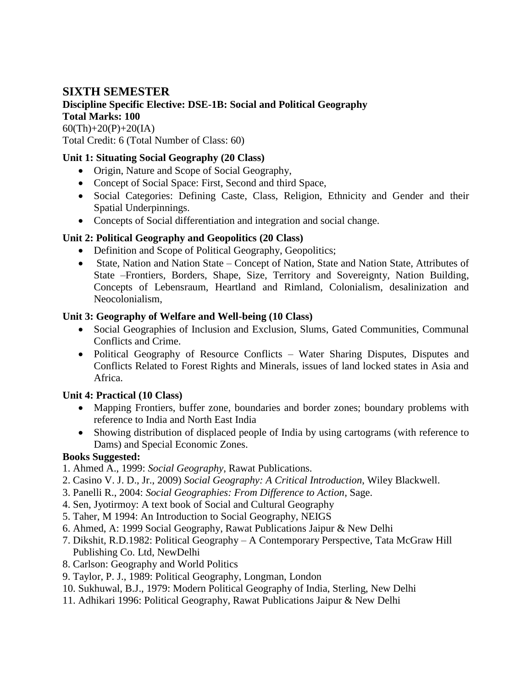# **SIXTH SEMESTER**

# **Discipline Specific Elective: DSE-1B: Social and Political Geography Total Marks: 100**

 $60$ (Th)+20(P)+20(IA) Total Credit: 6 (Total Number of Class: 60)

# **Unit 1: Situating Social Geography (20 Class)**

- Origin, Nature and Scope of Social Geography,
- Concept of Social Space: First, Second and third Space,
- Social Categories: Defining Caste, Class, Religion, Ethnicity and Gender and their Spatial Underpinnings.
- Concepts of Social differentiation and integration and social change.

# **Unit 2: Political Geography and Geopolitics (20 Class)**

- Definition and Scope of Political Geography, Geopolitics;
- State, Nation and Nation State Concept of Nation, State and Nation State, Attributes of State –Frontiers, Borders, Shape, Size, Territory and Sovereignty, Nation Building, Concepts of Lebensraum, Heartland and Rimland, Colonialism, desalinization and Neocolonialism,

# **Unit 3: Geography of Welfare and Well-being (10 Class)**

- Social Geographies of Inclusion and Exclusion, Slums, Gated Communities, Communal Conflicts and Crime.
- Political Geography of Resource Conflicts Water Sharing Disputes, Disputes and Conflicts Related to Forest Rights and Minerals, issues of land locked states in Asia and Africa.

# **Unit 4: Practical (10 Class)**

- Mapping Frontiers, buffer zone, boundaries and border zones; boundary problems with reference to India and North East India
- Showing distribution of displaced people of India by using cartograms (with reference to Dams) and Special Economic Zones.

- 1. Ahmed A., 1999: *Social Geography*, Rawat Publications.
- 2. Casino V. J. D., Jr., 2009) *Social Geography: A Critical Introduction*, Wiley Blackwell.
- 3. Panelli R., 2004: *Social Geographies: From Difference to Action*, Sage.
- 4. Sen, Jyotirmoy: A text book of Social and Cultural Geography
- 5. Taher, M 1994: An Introduction to Social Geography, NEIGS
- 6. Ahmed, A: 1999 Social Geography, Rawat Publications Jaipur & New Delhi
- 7. Dikshit, R.D.1982: Political Geography A Contemporary Perspective, Tata McGraw Hill Publishing Co. Ltd, NewDelhi
- 8. Carlson: Geography and World Politics
- 9. Taylor, P. J., 1989: Political Geography, Longman, London
- 10. Sukhuwal, B.J., 1979: Modern Political Geography of India, Sterling, New Delhi
- 11. Adhikari 1996: Political Geography, Rawat Publications Jaipur & New Delhi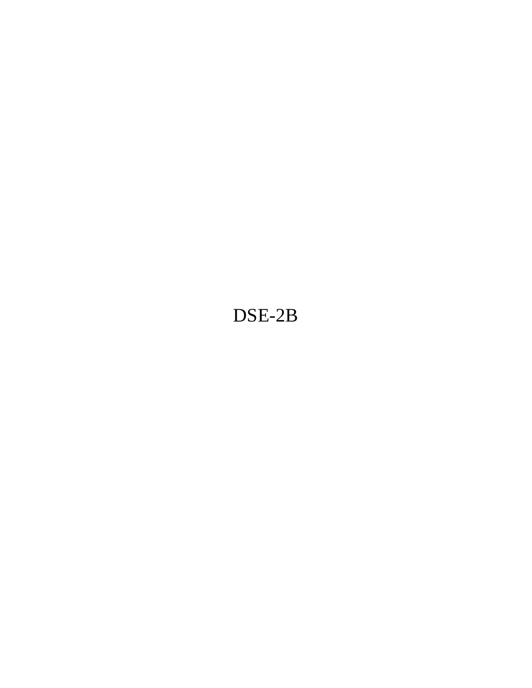# DSE-2B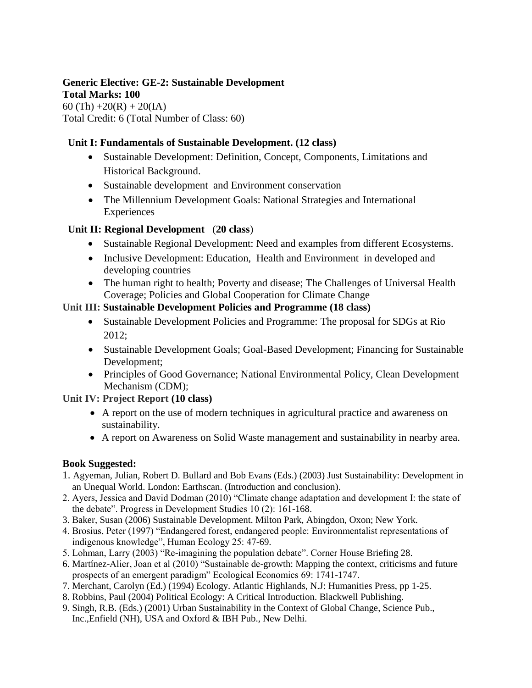#### **Generic Elective: GE-2: Sustainable Development Total Marks: 100**

60 (Th)  $+20(R) + 20(IA)$ Total Credit: 6 (Total Number of Class: 60)

### **Unit I: Fundamentals of Sustainable Development. (12 class)**

- Sustainable Development: Definition, Concept, Components, Limitations and Historical Background.
- Sustainable development and Environment conservation
- The Millennium Development Goals: National Strategies and International **Experiences**

## **Unit II: Regional Development** (**20 class**)

- Sustainable Regional Development: Need and examples from different Ecosystems.
- Inclusive Development: Education, Health and Environment in developed and developing countries
- The human right to health; Poverty and disease; The Challenges of Universal Health Coverage; Policies and Global Cooperation for Climate Change

## **Unit III: Sustainable Development Policies and Programme (18 class)**

- Sustainable Development Policies and Programme: The proposal for SDGs at Rio 2012;
- Sustainable Development Goals; Goal-Based Development; Financing for Sustainable Development;
- Principles of Good Governance; National Environmental Policy, Clean Development Mechanism (CDM);

## **Unit IV: Project Report (10 class)**

- A report on the use of modern techniques in agricultural practice and awareness on sustainability.
- A report on Awareness on Solid Waste management and sustainability in nearby area.

- 1. Agyeman, Julian, Robert D. Bullard and Bob Evans (Eds.) (2003) Just Sustainability: Development in an Unequal World. London: Earthscan. (Introduction and conclusion).
- 2. Ayers, Jessica and David Dodman (2010) "Climate change adaptation and development I: the state of the debate". Progress in Development Studies 10 (2): 161-168.
- 3. Baker, Susan (2006) Sustainable Development. Milton Park, Abingdon, Oxon; New York.
- 4. Brosius, Peter (1997) "Endangered forest, endangered people: Environmentalist representations of indigenous knowledge", Human Ecology 25: 47-69.
- 5. Lohman, Larry (2003) "Re-imagining the population debate". Corner House Briefing 28.
- 6. Martínez-Alier, Joan et al (2010) "Sustainable de-growth: Mapping the context, criticisms and future prospects of an emergent paradigm" Ecological Economics 69: 1741-1747.
- 7. Merchant, Carolyn (Ed.) (1994) Ecology. Atlantic Highlands, N.J: Humanities Press, pp 1-25.
- 8. Robbins, Paul (2004) Political Ecology: A Critical Introduction. Blackwell Publishing.
- 9. Singh, R.B. (Eds.) (2001) Urban Sustainability in the Context of Global Change, Science Pub., Inc.,Enfield (NH), USA and Oxford & IBH Pub., New Delhi.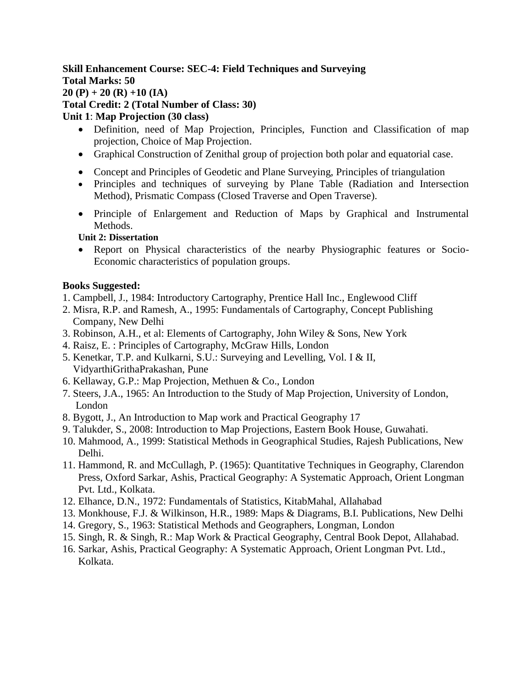### **Skill Enhancement Course: SEC-4: Field Techniques and Surveying Total Marks: 50 20 (P) + 20 (R) +10 (IA) Total Credit: 2 (Total Number of Class: 30) Unit 1**: **Map Projection (30 class)**

- Definition, need of Map Projection, Principles, Function and Classification of map projection, Choice of Map Projection.
- Graphical Construction of Zenithal group of projection both polar and equatorial case.
- Concept and Principles of Geodetic and Plane Surveying, Principles of triangulation
- Principles and techniques of surveying by Plane Table (Radiation and Intersection Method), Prismatic Compass (Closed Traverse and Open Traverse).
- Principle of Enlargement and Reduction of Maps by Graphical and Instrumental Methods.

#### **Unit 2: Dissertation**

• Report on Physical characteristics of the nearby Physiographic features or Socio-Economic characteristics of population groups.

- 1. Campbell, J., 1984: Introductory Cartography, Prentice Hall Inc., Englewood Cliff
- 2. Misra, R.P. and Ramesh, A., 1995: Fundamentals of Cartography, Concept Publishing Company, New Delhi
- 3. Robinson, A.H., et al: Elements of Cartography, John Wiley & Sons, New York
- 4. Raisz, E. : Principles of Cartography, McGraw Hills, London
- 5. Kenetkar, T.P. and Kulkarni, S.U.: Surveying and Levelling, Vol. I & II, VidyarthiGrithaPrakashan, Pune
- 6. Kellaway, G.P.: Map Projection, Methuen & Co., London
- 7. Steers, J.A., 1965: An Introduction to the Study of Map Projection, University of London, London
- 8. Bygott, J., An Introduction to Map work and Practical Geography 17
- 9. Talukder, S., 2008: Introduction to Map Projections, Eastern Book House, Guwahati.
- 10. Mahmood, A., 1999: Statistical Methods in Geographical Studies, Rajesh Publications, New Delhi.
- 11. Hammond, R. and McCullagh, P. (1965): Quantitative Techniques in Geography, Clarendon Press, Oxford Sarkar, Ashis, Practical Geography: A Systematic Approach, Orient Longman Pvt. Ltd., Kolkata.
- 12. Elhance, D.N., 1972: Fundamentals of Statistics, KitabMahal, Allahabad
- 13. Monkhouse, F.J. & Wilkinson, H.R., 1989: Maps & Diagrams, B.I. Publications, New Delhi
- 14. Gregory, S., 1963: Statistical Methods and Geographers, Longman, London
- 15. Singh, R. & Singh, R.: Map Work & Practical Geography, Central Book Depot, Allahabad.
- 16. Sarkar, Ashis, Practical Geography: A Systematic Approach, Orient Longman Pvt. Ltd., Kolkata.